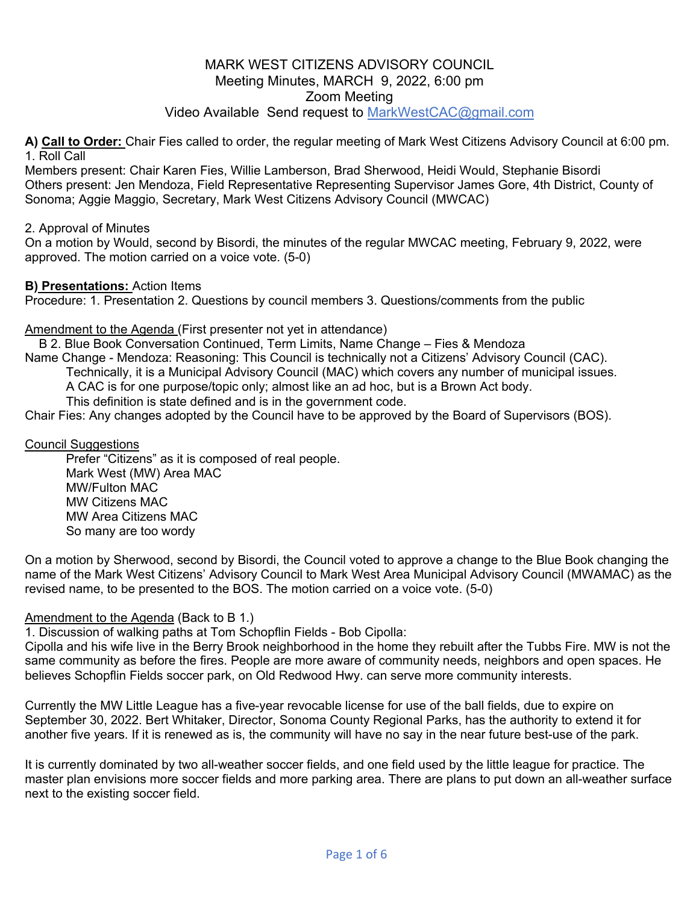# Video Available Send request to MarkWestCAC@gmail.com

**A) Call to Order:** Chair Fies called to order, the regular meeting of Mark West Citizens Advisory Council at 6:00 pm. 1. Roll Call

Members present: Chair Karen Fies, Willie Lamberson, Brad Sherwood, Heidi Would, Stephanie Bisordi Others present: Jen Mendoza, Field Representative Representing Supervisor James Gore, 4th District, County of Sonoma; Aggie Maggio, Secretary, Mark West Citizens Advisory Council (MWCAC)

### 2. Approval of Minutes

On a motion by Would, second by Bisordi, the minutes of the regular MWCAC meeting, February 9, 2022, were approved. The motion carried on a voice vote. (5-0)

### **B) Presentations:** Action Items

Procedure: 1. Presentation 2. Questions by council members 3. Questions/comments from the public

### Amendment to the Agenda (First presenter not yet in attendance)

B 2. Blue Book Conversation Continued, Term Limits, Name Change – Fies & Mendoza

Name Change - Mendoza: Reasoning: This Council is technically not a Citizens' Advisory Council (CAC).

Technically, it is a Municipal Advisory Council (MAC) which covers any number of municipal issues.

A CAC is for one purpose/topic only; almost like an ad hoc, but is a Brown Act body.

This definition is state defined and is in the government code.

Chair Fies: Any changes adopted by the Council have to be approved by the Board of Supervisors (BOS).

### Council Suggestions

 Prefer "Citizens" as it is composed of real people. Mark West (MW) Area MAC MW/Fulton MAC MW Citizens MAC MW Area Citizens MAC So many are too wordy

On a motion by Sherwood, second by Bisordi, the Council voted to approve a change to the Blue Book changing the name of the Mark West Citizens' Advisory Council to Mark West Area Municipal Advisory Council (MWAMAC) as the revised name, to be presented to the BOS. The motion carried on a voice vote. (5-0)

### Amendment to the Agenda (Back to B 1.)

1. Discussion of walking paths at Tom Schopflin Fields - Bob Cipolla:

Cipolla and his wife live in the Berry Brook neighborhood in the home they rebuilt after the Tubbs Fire. MW is not the same community as before the fires. People are more aware of community needs, neighbors and open spaces. He believes Schopflin Fields soccer park, on Old Redwood Hwy. can serve more community interests.

Currently the MW Little League has a five-year revocable license for use of the ball fields, due to expire on September 30, 2022. Bert Whitaker, Director, Sonoma County Regional Parks, has the authority to extend it for another five years. If it is renewed as is, the community will have no say in the near future best-use of the park.

It is currently dominated by two all-weather soccer fields, and one field used by the little league for practice. The master plan envisions more soccer fields and more parking area. There are plans to put down an all-weather surface next to the existing soccer field.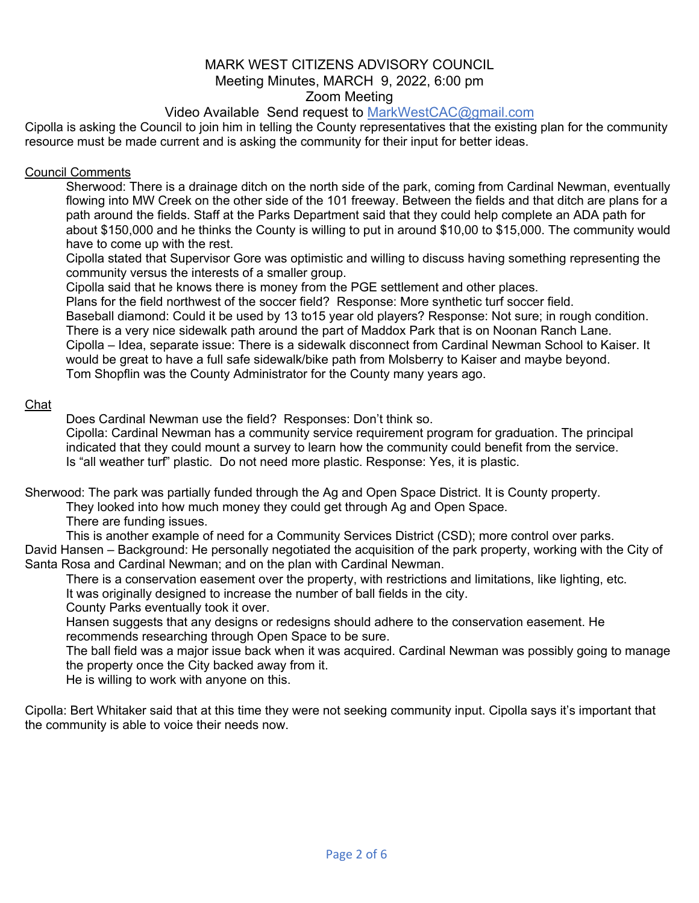# Video Available Send request to MarkWestCAC@gmail.com

Cipolla is asking the Council to join him in telling the County representatives that the existing plan for the community resource must be made current and is asking the community for their input for better ideas.

### Council Comments

 Sherwood: There is a drainage ditch on the north side of the park, coming from Cardinal Newman, eventually flowing into MW Creek on the other side of the 101 freeway. Between the fields and that ditch are plans for a path around the fields. Staff at the Parks Department said that they could help complete an ADA path for about \$150,000 and he thinks the County is willing to put in around \$10,00 to \$15,000. The community would have to come up with the rest.

 Cipolla stated that Supervisor Gore was optimistic and willing to discuss having something representing the community versus the interests of a smaller group.

Cipolla said that he knows there is money from the PGE settlement and other places.

Plans for the field northwest of the soccer field? Response: More synthetic turf soccer field.

 Baseball diamond: Could it be used by 13 to15 year old players? Response: Not sure; in rough condition. There is a very nice sidewalk path around the part of Maddox Park that is on Noonan Ranch Lane.

 Cipolla – Idea, separate issue: There is a sidewalk disconnect from Cardinal Newman School to Kaiser. It would be great to have a full safe sidewalk/bike path from Molsberry to Kaiser and maybe beyond. Tom Shopflin was the County Administrator for the County many years ago.

### Chat

Does Cardinal Newman use the field? Responses: Don't think so.

 Cipolla: Cardinal Newman has a community service requirement program for graduation. The principal indicated that they could mount a survey to learn how the community could benefit from the service. Is "all weather turf" plastic. Do not need more plastic. Response: Yes, it is plastic.

Sherwood: The park was partially funded through the Ag and Open Space District. It is County property.

They looked into how much money they could get through Ag and Open Space.

There are funding issues.

This is another example of need for a Community Services District (CSD); more control over parks.

David Hansen – Background: He personally negotiated the acquisition of the park property, working with the City of Santa Rosa and Cardinal Newman; and on the plan with Cardinal Newman.

 There is a conservation easement over the property, with restrictions and limitations, like lighting, etc. It was originally designed to increase the number of ball fields in the city.

County Parks eventually took it over.

 Hansen suggests that any designs or redesigns should adhere to the conservation easement. He recommends researching through Open Space to be sure.

 The ball field was a major issue back when it was acquired. Cardinal Newman was possibly going to manage the property once the City backed away from it.

He is willing to work with anyone on this.

Cipolla: Bert Whitaker said that at this time they were not seeking community input. Cipolla says it's important that the community is able to voice their needs now.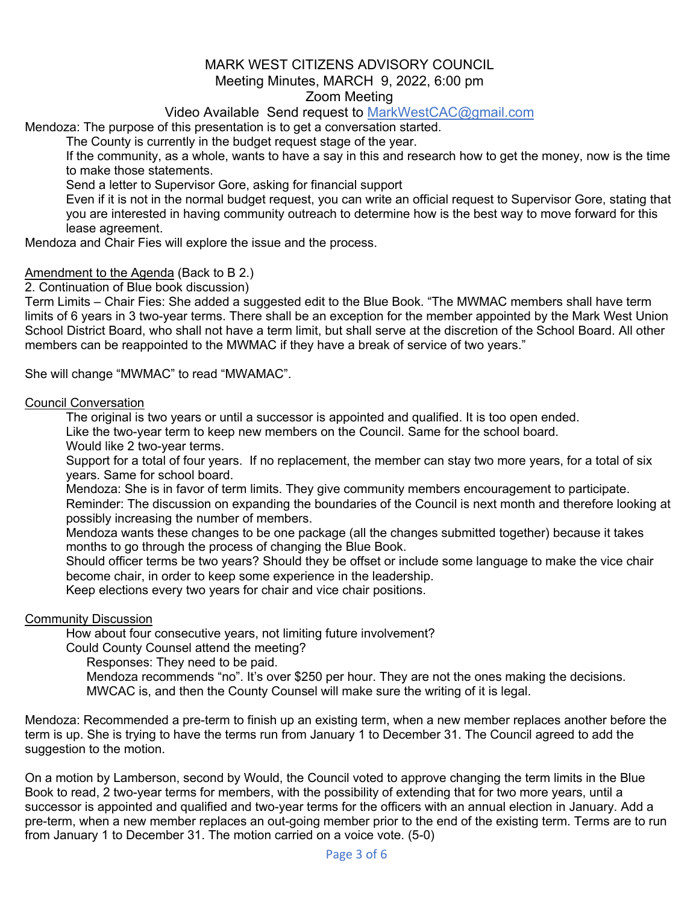# Video Available Send request to MarkWestCAC@gmail.com

Mendoza: The purpose of this presentation is to get a conversation started.

The County is currently in the budget request stage of the year.

 If the community, as a whole, wants to have a say in this and research how to get the money, now is the time to make those statements.

Send a letter to Supervisor Gore, asking for financial support

 Even if it is not in the normal budget request, you can write an official request to Supervisor Gore, stating that you are interested in having community outreach to determine how is the best way to move forward for this lease agreement.

Mendoza and Chair Fies will explore the issue and the process.

### Amendment to the Agenda (Back to B 2.)

2. Continuation of Blue book discussion)

Term Limits – Chair Fies: She added a suggested edit to the Blue Book. "The MWMAC members shall have term limits of 6 years in 3 two-year terms. There shall be an exception for the member appointed by the Mark West Union School District Board, who shall not have a term limit, but shall serve at the discretion of the School Board. All other members can be reappointed to the MWMAC if they have a break of service of two years."

She will change "MWMAC" to read "MWAMAC".

#### Council Conversation

The original is two years or until a successor is appointed and qualified. It is too open ended.

Like the two-year term to keep new members on the Council. Same for the school board.

Would like 2 two-year terms.

 Support for a total of four years. If no replacement, the member can stay two more years, for a total of six years. Same for school board.

 Mendoza: She is in favor of term limits. They give community members encouragement to participate. Reminder: The discussion on expanding the boundaries of the Council is next month and therefore looking at possibly increasing the number of members.

 Mendoza wants these changes to be one package (all the changes submitted together) because it takes months to go through the process of changing the Blue Book.

 Should officer terms be two years? Should they be offset or include some language to make the vice chair become chair, in order to keep some experience in the leadership.

Keep elections every two years for chair and vice chair positions.

### Community Discussion

How about four consecutive years, not limiting future involvement?

Could County Counsel attend the meeting?

Responses: They need to be paid.

 Mendoza recommends "no". It's over \$250 per hour. They are not the ones making the decisions. MWCAC is, and then the County Counsel will make sure the writing of it is legal.

Mendoza: Recommended a pre-term to finish up an existing term, when a new member replaces another before the term is up. She is trying to have the terms run from January 1 to December 31. The Council agreed to add the suggestion to the motion.

On a motion by Lamberson, second by Would, the Council voted to approve changing the term limits in the Blue Book to read, 2 two-year terms for members, with the possibility of extending that for two more years, until a successor is appointed and qualified and two-year terms for the officers with an annual election in January. Add a pre-term, when a new member replaces an out-going member prior to the end of the existing term. Terms are to run from January 1 to December 31. The motion carried on a voice vote. (5-0)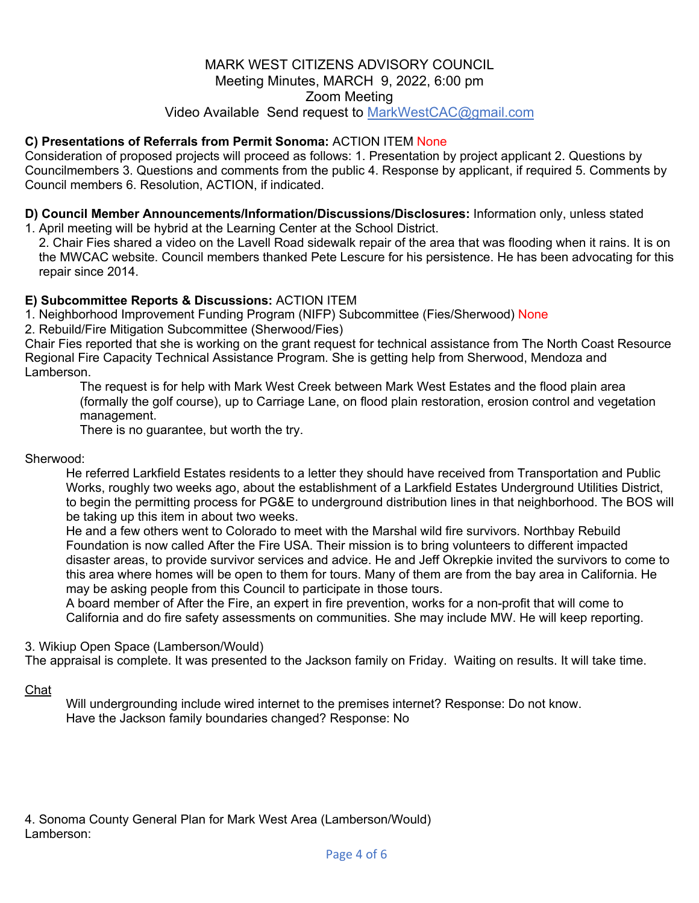# MARK WEST CITIZENS ADVISORY COUNCIL Meeting Minutes, MARCH 9, 2022, 6:00 pm Zoom Meeting Video Available Send request to MarkWestCAC@gmail.com

# **C) Presentations of Referrals from Permit Sonoma:** ACTION ITEM None

Consideration of proposed projects will proceed as follows: 1. Presentation by project applicant 2. Questions by Councilmembers 3. Questions and comments from the public 4. Response by applicant, if required 5. Comments by Council members 6. Resolution, ACTION, if indicated.

**D) Council Member Announcements/Information/Discussions/Disclosures:** Information only, unless stated

1. April meeting will be hybrid at the Learning Center at the School District.

2. Chair Fies shared a video on the Lavell Road sidewalk repair of the area that was flooding when it rains. It is on the MWCAC website. Council members thanked Pete Lescure for his persistence. He has been advocating for this repair since 2014.

### **E) Subcommittee Reports & Discussions:** ACTION ITEM

1. Neighborhood Improvement Funding Program (NIFP) Subcommittee (Fies/Sherwood) None

2. Rebuild/Fire Mitigation Subcommittee (Sherwood/Fies)

Chair Fies reported that she is working on the grant request for technical assistance from The North Coast Resource Regional Fire Capacity Technical Assistance Program. She is getting help from Sherwood, Mendoza and Lamberson.

 The request is for help with Mark West Creek between Mark West Estates and the flood plain area (formally the golf course), up to Carriage Lane, on flood plain restoration, erosion control and vegetation management.

There is no guarantee, but worth the try.

#### Sherwood:

 He referred Larkfield Estates residents to a letter they should have received from Transportation and Public Works, roughly two weeks ago, about the establishment of a Larkfield Estates Underground Utilities District, to begin the permitting process for PG&E to underground distribution lines in that neighborhood. The BOS will be taking up this item in about two weeks.

 He and a few others went to Colorado to meet with the Marshal wild fire survivors. Northbay Rebuild Foundation is now called After the Fire USA. Their mission is to bring volunteers to different impacted disaster areas, to provide survivor services and advice. He and Jeff Okrepkie invited the survivors to come to this area where homes will be open to them for tours. Many of them are from the bay area in California. He may be asking people from this Council to participate in those tours.

 A board member of After the Fire, an expert in fire prevention, works for a non-profit that will come to California and do fire safety assessments on communities. She may include MW. He will keep reporting.

3. Wikiup Open Space (Lamberson/Would)

The appraisal is complete. It was presented to the Jackson family on Friday. Waiting on results. It will take time.

### Chat

 Will undergrounding include wired internet to the premises internet? Response: Do not know. Have the Jackson family boundaries changed? Response: No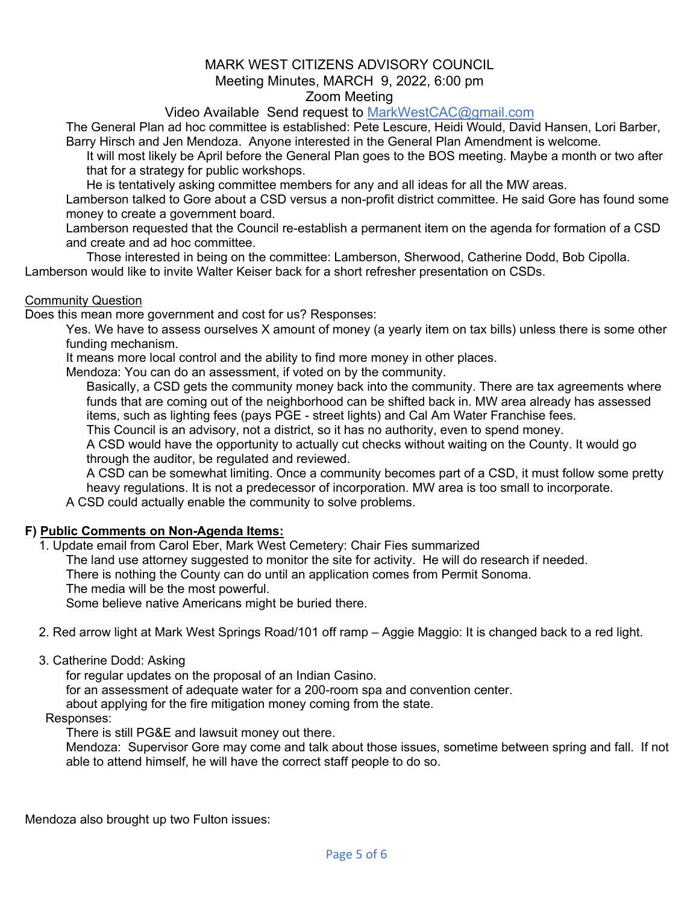Video Available Send request to MarkWestCAC@gmail.com

 The General Plan ad hoc committee is established: Pete Lescure, Heidi Would, David Hansen, Lori Barber, Barry Hirsch and Jen Mendoza. Anyone interested in the General Plan Amendment is welcome.

 It will most likely be April before the General Plan goes to the BOS meeting. Maybe a month or two after that for a strategy for public workshops.

He is tentatively asking committee members for any and all ideas for all the MW areas.

 Lamberson talked to Gore about a CSD versus a non-profit district committee. He said Gore has found some money to create a government board.

 Lamberson requested that the Council re-establish a permanent item on the agenda for formation of a CSD and create and ad hoc committee.

 Those interested in being on the committee: Lamberson, Sherwood, Catherine Dodd, Bob Cipolla. Lamberson would like to invite Walter Keiser back for a short refresher presentation on CSDs.

### Community Question

Does this mean more government and cost for us? Responses:

 Yes. We have to assess ourselves X amount of money (a yearly item on tax bills) unless there is some other funding mechanism.

It means more local control and the ability to find more money in other places.

Mendoza: You can do an assessment, if voted on by the community.

 Basically, a CSD gets the community money back into the community. There are tax agreements where funds that are coming out of the neighborhood can be shifted back in. MW area already has assessed items, such as lighting fees (pays PGE - street lights) and Cal Am Water Franchise fees.

This Council is an advisory, not a district, so it has no authority, even to spend money.

 A CSD would have the opportunity to actually cut checks without waiting on the County. It would go through the auditor, be regulated and reviewed.

 A CSD can be somewhat limiting. Once a community becomes part of a CSD, it must follow some pretty heavy regulations. It is not a predecessor of incorporation. MW area is too small to incorporate.

A CSD could actually enable the community to solve problems.

### **F) Public Comments on Non-Agenda Items:**

1. Update email from Carol Eber, Mark West Cemetery: Chair Fies summarized

The land use attorney suggested to monitor the site for activity. He will do research if needed.

There is nothing the County can do until an application comes from Permit Sonoma.

The media will be the most powerful.

Some believe native Americans might be buried there.

2. Red arrow light at Mark West Springs Road/101 off ramp – Aggie Maggio: It is changed back to a red light.

3. Catherine Dodd: Asking

for regular updates on the proposal of an Indian Casino.

for an assessment of adequate water for a 200-room spa and convention center.

about applying for the fire mitigation money coming from the state.

Responses:

There is still PG&E and lawsuit money out there.

 Mendoza: Supervisor Gore may come and talk about those issues, sometime between spring and fall. If not able to attend himself, he will have the correct staff people to do so.

Mendoza also brought up two Fulton issues: